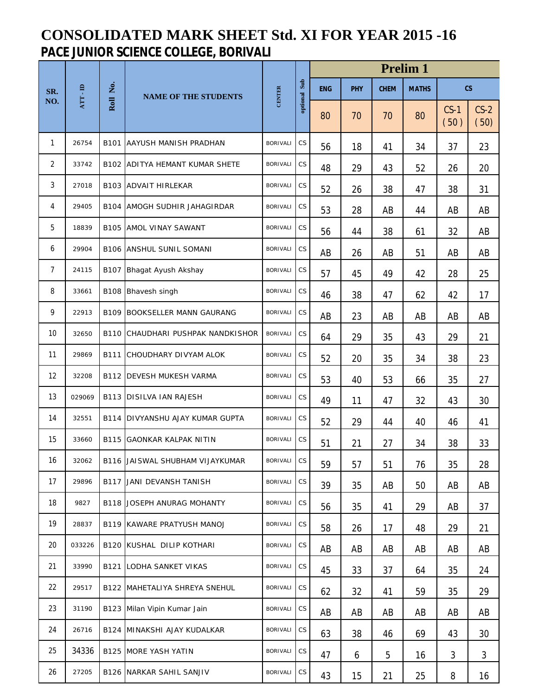## **CONSOLIDATED MARK SHEET Std. XI FOR YEAR 2015 -16 PACE JUNIOR SCIENCE COLLEGE, BORIVALI**

|                |          |                  |                                       |                 |                        | <b>Prelim 1</b> |            |             |              |                          |                |  |  |
|----------------|----------|------------------|---------------------------------------|-----------------|------------------------|-----------------|------------|-------------|--------------|--------------------------|----------------|--|--|
| SR.            | ATT - ID | Ż.               | <b>NAME OF THE STUDENTS</b>           | <b>CENTER</b>   | optional Sub           | <b>ENG</b>      | <b>PHY</b> | <b>CHEM</b> | <b>MATHS</b> | $\mathsf{CS}\phantom{0}$ |                |  |  |
| NO.            |          | Roll             |                                       |                 |                        | 80              | 70         | 70          | 80           | $CS-1$<br>(50)           | $CS-2$<br>(50) |  |  |
| 1              | 26754    | B101             | AAYUSH MANISH PRADHAN                 | <b>BORIVALI</b> | <b>CS</b>              | 56              | 18         | 41          | 34           | 37                       | 23             |  |  |
| $\overline{2}$ | 33742    |                  | <b>B102 ADITYA HEMANT KUMAR SHETE</b> | <b>BORIVALI</b> | CS                     | 48              | 29         | 43          | 52           | 26                       | 20             |  |  |
| 3              | 27018    |                  | <b>B103 ADVAIT HIRLEKAR</b>           | <b>BORIVALI</b> | $\mathbb{C}\mathsf{S}$ | 52              | 26         | 38          | 47           | 38                       | 31             |  |  |
| 4              | 29405    | B <sub>104</sub> | AMOGH SUDHIR JAHAGIRDAR               | <b>BORIVALI</b> | $\mathbb{C}\mathsf{S}$ | 53              | 28         | AB          | 44           | AB                       | AB             |  |  |
| 5              | 18839    |                  | <b>B105 AMOL VINAY SAWANT</b>         | <b>BORIVALI</b> | <b>CS</b>              | 56              | 44         | 38          | 61           | 32                       | AB             |  |  |
| 6              | 29904    |                  | <b>B106 ANSHUL SUNIL SOMANI</b>       | <b>BORIVALI</b> | <b>CS</b>              | AB              | 26         | AB          | 51           | AB                       | AB             |  |  |
| $\overline{7}$ | 24115    |                  | B107 Bhagat Ayush Akshay              | <b>BORIVALI</b> | $\mathbb{C}\mathsf{S}$ | 57              | 45         | 49          | 42           | 28                       | 25             |  |  |
| 8              | 33661    |                  | B108 Bhavesh singh                    | <b>BORIVALI</b> | CS                     | 46              | 38         | 47          | 62           | 42                       | 17             |  |  |
| 9              | 22913    |                  | <b>B109 BOOKSELLER MANN GAURANG</b>   | <b>BORIVALI</b> | CS                     | AB              | 23         | AB          | AB           | AB                       | AB             |  |  |
| 10             | 32650    |                  | B110 CHAUDHARI PUSHPAK NANDKISHOR     | <b>BORIVALI</b> | CS                     | 64              | 29         | 35          | 43           | 29                       | 21             |  |  |
| 11             | 29869    | B111             | CHOUDHARY DIVYAM ALOK                 | <b>BORIVALI</b> | CS                     | 52              | 20         | 35          | 34           | 38                       | 23             |  |  |
| 12             | 32208    |                  | <b>B112 DEVESH MUKESH VARMA</b>       | <b>BORIVALI</b> | CS                     | 53              | 40         | 53          | 66           | 35                       | 27             |  |  |
| 13             | 029069   |                  | <b>B113 DISILVA IAN RAJESH</b>        | <b>BORIVALI</b> | <b>CS</b>              | 49              | 11         | 47          | 32           | 43                       | 30             |  |  |
| 14             | 32551    |                  | B114 DIVYANSHU AJAY KUMAR GUPTA       | <b>BORIVALI</b> | $\mathbb{C}\mathsf{S}$ | 52              | 29         | 44          | 40           | 46                       | 41             |  |  |
| 15             | 33660    |                  | <b>B115 GAONKAR KALPAK NITIN</b>      | <b>BORIVALI</b> | <b>CS</b>              | 51              | 21         | 27          | 34           | 38                       | 33             |  |  |
| 16             | 32062    |                  | B116 JAISWAL SHUBHAM VIJAYKUMAR       | BORIVALI CS     |                        | 59              | 57         | 51          | 76           | 35                       | 28             |  |  |
| 17             | 29896    |                  | B117 JANI DEVANSH TANISH              | <b>BORIVALI</b> | CS                     | 39              | 35         | AB          | 50           | AB                       | AB             |  |  |
| 18             | 9827     |                  | <b>B118 JOSEPH ANURAG MOHANTY</b>     | <b>BORIVALI</b> | <b>CS</b>              | 56              | 35         | 41          | 29           | AB                       | 37             |  |  |
| 19             | 28837    |                  | B119 KAWARE PRATYUSH MANOJ            | <b>BORIVALI</b> | CS                     | 58              | 26         | 17          | 48           | 29                       | 21             |  |  |
| 20             | 033226   |                  | B120 KUSHAL DILIP KOTHARI             | <b>BORIVALI</b> | <b>CS</b>              | AB              | AB         | AB          | AB           | AB                       | AB             |  |  |
| 21             | 33990    |                  | <b>B121 LODHA SANKET VIKAS</b>        | <b>BORIVALI</b> | CS                     | 45              | 33         | 37          | 64           | 35                       | 24             |  |  |
| 22             | 29517    |                  | B122 MAHETALIYA SHREYA SNEHUL         | <b>BORIVALI</b> | CS                     | 62              | 32         | 41          | 59           | 35                       | 29             |  |  |
| 23             | 31190    |                  | B123 Milan Vipin Kumar Jain           | <b>BORIVALI</b> | <b>CS</b>              | AB              | AB         | AB          | AB           | AB                       | AB             |  |  |
| 24             | 26716    |                  | B124 MINAKSHI AJAY KUDALKAR           | <b>BORIVALI</b> | CS                     | 63              | 38         | 46          | 69           | 43                       | 30             |  |  |
| 25             | 34336    |                  | <b>B125 MORE YASH YATIN</b>           | <b>BORIVALI</b> | CS                     | 47              | 6          | 5           | 16           | 3                        | 3              |  |  |
| 26             | 27205    |                  | <b>B126 NARKAR SAHIL SANJIV</b>       | <b>BORIVALI</b> | CS                     | 43              | 15         | 21          | 25           | 8                        | 16             |  |  |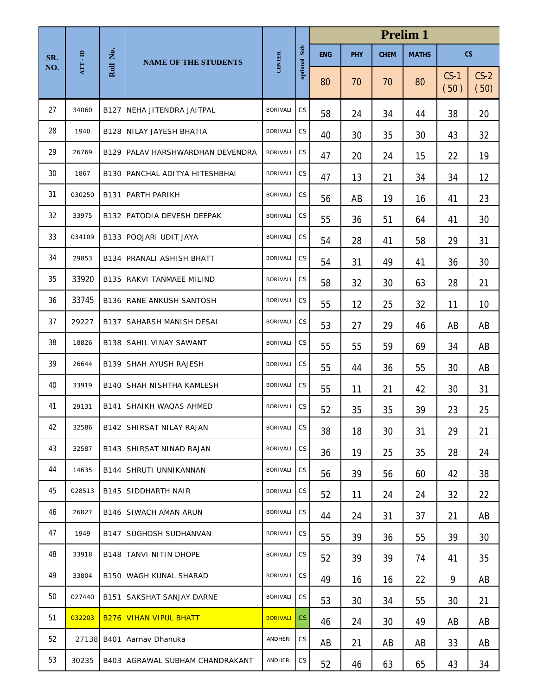|     |                         |          |                                   |                 | <b>Prelim 1</b>        |            |            |             |              |                |                |
|-----|-------------------------|----------|-----------------------------------|-----------------|------------------------|------------|------------|-------------|--------------|----------------|----------------|
| SR. | $\bf{AT} \cdot \bf{ID}$ | Roll No. | <b>NAME OF THE STUDENTS</b>       | <b>CENTER</b>   | Sub                    | <b>ENG</b> | <b>PHY</b> | <b>CHEM</b> | <b>MATHS</b> |                | c <sub>S</sub> |
| NO. |                         |          |                                   |                 | optional               | 80         | 70         | 70          | 80           | $CS-1$<br>(50) | $CS-2$<br>(50) |
| 27  | 34060                   |          | <b>B127 NEHA JITENDRA JAITPAL</b> | <b>BORIVALI</b> | <b>CS</b>              | 58         | 24         | 34          | 44           | 38             | 20             |
| 28  | 1940                    |          | <b>B128 NILAY JAYESH BHATIA</b>   | <b>BORIVALI</b> | CS                     | 40         | 30         | 35          | 30           | 43             | 32             |
| 29  | 26769                   |          | B129 PALAV HARSHWARDHAN DEVENDRA  | <b>BORIVALI</b> | CS                     | 47         | 20         | 24          | 15           | 22             | 19             |
| 30  | 1867                    |          | B130 PANCHAL ADITYA HITESHBHAI    | <b>BORIVALI</b> | CS                     | 47         | 13         | 21          | 34           | 34             | 12             |
| 31  | 030250                  |          | <b>B131 PARTH PARIKH</b>          | <b>BORIVALI</b> | CS                     | 56         | AB         | 19          | 16           | 41             | 23             |
| 32  | 33975                   |          | B132 PATODIA DEVESH DEEPAK        | <b>BORIVALI</b> | CS                     | 55         | 36         | 51          | 64           | 41             | 30             |
| 33  | 034109                  |          | <b>B133 POOJARI UDIT JAYA</b>     | <b>BORIVALI</b> | CS                     | 54         | 28         | 41          | 58           | 29             | 31             |
| 34  | 29853                   |          | <b>B134 PRANALI ASHISH BHATT</b>  | <b>BORIVALI</b> | CS                     | 54         | 31         | 49          | 41           | 36             | 30             |
| 35  | 33920                   |          | <b>B135 RAKVI TANMAEE MILIND</b>  | <b>BORIVALI</b> | CS                     | 58         | 32         | 30          | 63           | 28             | 21             |
| 36  | 33745                   |          | <b>B136 RANE ANKUSH SANTOSH</b>   | <b>BORIVALI</b> | CS                     | 55         | 12         | 25          | 32           | 11             | 10             |
| 37  | 29227                   |          | <b>B137 SAHARSH MANISH DESAI</b>  | <b>BORIVALI</b> | CS                     | 53         | 27         | 29          | 46           | AB             | AB             |
| 38  | 18826                   |          | <b>B138 SAHIL VINAY SAWANT</b>    | <b>BORIVALI</b> | CS                     | 55         | 55         | 59          | 69           | 34             | AB             |
| 39  | 26644                   |          | <b>B139 SHAH AYUSH RAJESH</b>     | <b>BORIVALI</b> | <b>CS</b>              | 55         | 44         | 36          | 55           | 30             | AB             |
| 40  | 33919                   |          | <b>B140 SHAH NISHTHA KAMLESH</b>  | <b>BORIVALI</b> | <b>CS</b>              | 55         | 11         | 21          | 42           | 30             | 31             |
| 41  | 29131                   |          | <b>B141 SHAIKH WAQAS AHMED</b>    | <b>BORIVALI</b> | CS                     | 52         | 35         | 35          | 39           | 23             | 25             |
| 42  | 32586                   |          | <b>B142 SHIRSAT NILAY RAJAN</b>   | BORIVALI CS     |                        | 38         | 18         | 30          | 31           | 29             | 21             |
| 43  | 32587                   |          | <b>B143 SHIRSAT NINAD RAJAN</b>   | <b>BORIVALI</b> | $\mathbb{C}\mathsf{S}$ | 36         | 19         | 25          | 35           | 28             | 24             |
| 44  | 14635                   |          | <b>B144 SHRUTI UNNIKANNAN</b>     | <b>BORIVALI</b> | $\mathbb{C}\mathsf{S}$ | 56         | 39         | 56          | 60           | 42             | 38             |
| 45  | 028513                  |          | <b>B145 SIDDHARTH NAIR</b>        | <b>BORIVALI</b> | CS                     | 52         | 11         | 24          | 24           | 32             | 22             |
| 46  | 26827                   |          | <b>B146 SIWACH AMAN ARUN</b>      | <b>BORIVALI</b> | <b>CS</b>              | 44         | 24         | 31          | 37           | 21             | AB             |
| 47  | 1949                    |          | <b>B147 SUGHOSH SUDHANVAN</b>     | <b>BORIVALI</b> | CS                     | 55         | 39         | 36          | 55           | 39             | 30             |
| 48  | 33918                   |          | <b>B148 TANVI NITIN DHOPE</b>     | <b>BORIVALI</b> | CS                     | 52         | 39         | 39          | 74           | 41             | 35             |
| 49  | 33804                   |          | <b>B150 WAGH KUNAL SHARAD</b>     | <b>BORIVALI</b> | $\mathbb{C}\mathsf{S}$ | 49         | 16         | 16          | 22           | 9              | AB             |
| 50  | 027440                  |          | <b>B151 SAKSHAT SANJAY DARNE</b>  | <b>BORIVALI</b> | CS                     | 53         | 30         | 34          | 55           | 30             | 21             |
| 51  | 032203                  |          | <b>B276 VIHAN VIPUL BHATT</b>     | <b>BORIVALI</b> | CS                     | 46         | 24         | 30          | 49           | AB             | AB             |
| 52  |                         |          | 27138 B401 Aarnav Dhanuka         | ANDHERI         | CS                     | AB         | 21         | AB          | AB           | 33             | AB             |
| 53  | 30235                   |          | B403 AGRAWAL SUBHAM CHANDRAKANT   | ANDHERI         | CS                     | 52         | 46         | 63          | 65           | 43             | 34             |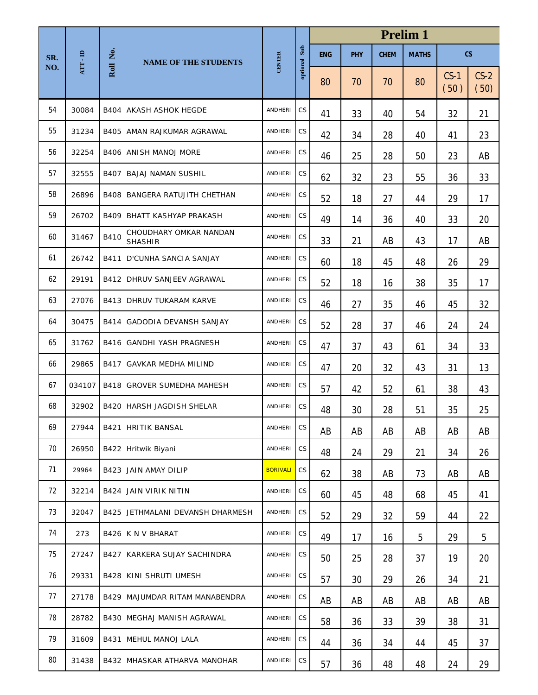|     |                         |          |                                          |                 | <b>Prelim 1</b>        |            |            |             |              |                |                          |
|-----|-------------------------|----------|------------------------------------------|-----------------|------------------------|------------|------------|-------------|--------------|----------------|--------------------------|
| SR. | $\bf{AT} \cdot \bf{ID}$ | Roll No. | <b>NAME OF THE STUDENTS</b>              | <b>CENTER</b>   | Sub                    | <b>ENG</b> | <b>PHY</b> | <b>CHEM</b> | <b>MATHS</b> |                | $\mathsf{CS}\phantom{0}$ |
| NO. |                         |          |                                          |                 | optional               | 80         | 70         | 70          | 80           | $CS-1$<br>(50) | $CS-2$<br>(50)           |
| 54  | 30084                   |          | <b>B404 AKASH ASHOK HEGDE</b>            | ANDHERI         | <b>CS</b>              | 41         | 33         | 40          | 54           | 32             | 21                       |
| 55  | 31234                   |          | <b>B405 AMAN RAJKUMAR AGRAWAL</b>        | ANDHERI         | CS                     | 42         | 34         | 28          | 40           | 41             | 23                       |
| 56  | 32254                   |          | <b>B406 ANISH MANOJ MORE</b>             | ANDHERI         | CS                     | 46         | 25         | 28          | 50           | 23             | AB                       |
| 57  | 32555                   |          | <b>B407 BAJAJ NAMAN SUSHIL</b>           | ANDHERI         | CS                     | 62         | 32         | 23          | 55           | 36             | 33                       |
| 58  | 26896                   |          | <b>B408 BANGERA RATUJITH CHETHAN</b>     | ANDHERI         | CS                     | 52         | 18         | 27          | 44           | 29             | 17                       |
| 59  | 26702                   |          | <b>B409 BHATT KASHYAP PRAKASH</b>        | ANDHERI         | CS                     | 49         | 14         | 36          | 40           | 33             | 20                       |
| 60  | 31467                   | B410     | CHOUDHARY OMKAR NANDAN<br><b>SHASHIR</b> | ANDHERI         | CS                     | 33         | 21         | AB          | 43           | 17             | AB                       |
| 61  | 26742                   | B411     | D'CUNHA SANCIA SANJAY                    | ANDHERI         | CS                     | 60         | 18         | 45          | 48           | 26             | 29                       |
| 62  | 29191                   |          | <b>B412 DHRUV SANJEEV AGRAWAL</b>        | <b>ANDHERI</b>  | CS                     | 52         | 18         | 16          | 38           | 35             | 17                       |
| 63  | 27076                   |          | <b>B413 DHRUV TUKARAM KARVE</b>          | ANDHERI         | CS                     | 46         | 27         | 35          | 46           | 45             | 32                       |
| 64  | 30475                   |          | B414 GADODIA DEVANSH SANJAY              | ANDHERI         | CS                     | 52         | 28         | 37          | 46           | 24             | 24                       |
| 65  | 31762                   |          | <b>B416 GANDHI YASH PRAGNESH</b>         | ANDHERI         | <b>CS</b>              | 47         | 37         | 43          | 61           | 34             | 33                       |
| 66  | 29865                   |          | <b>B417 GAVKAR MEDHA MILIND</b>          | ANDHERI         | CS                     | 47         | 20         | 32          | 43           | 31             | 13                       |
| 67  | 034107                  |          | <b>B418 GROVER SUMEDHA MAHESH</b>        | ANDHERI         | CS                     | 57         | 42         | 52          | 61           | 38             | 43                       |
| 68  | 32902                   |          | <b>B420 HARSH JAGDISH SHELAR</b>         | ANDHERI         | CS                     | 48         | 30         | 28          | 51           | 35             | 25                       |
| 69  | 27944                   |          | <b>B421 HRITIK BANSAL</b>                | ANDHERI         | CS                     | AB         | AB         | AB          | AB           | AB             | AB                       |
| 70  | 26950                   |          | B422 Hritwik Biyani                      | ANDHERI         | <b>CS</b>              | 48         | 24         | 29          | 21           | 34             | 26                       |
| 71  | 29964                   |          | <b>B423 JAIN AMAY DILIP</b>              | <b>BORIVALI</b> | $\mathbb{C}\mathsf{S}$ | 62         | 38         | AB          | 73           | AB             | AB                       |
| 72  | 32214                   |          | <b>B424 JAIN VIRIK NITIN</b>             | ANDHERI         | <b>CS</b>              | 60         | 45         | 48          | 68           | 45             | 41                       |
| 73  | 32047                   |          | B425 JETHMALANI DEVANSH DHARMESH         | ANDHERI         | $\mathbb{C}\mathsf{S}$ | 52         | 29         | 32          | 59           | 44             | 22                       |
| 74  | 273                     |          | B426 K N V BHARAT                        | ANDHERI         | $\mathbb{C}\mathsf{S}$ | 49         | 17         | 16          | 5            | 29             | 5                        |
| 75  | 27247                   |          | <b>B427 KARKERA SUJAY SACHINDRA</b>      | ANDHERI         | $\mathbb{C}\mathsf{S}$ | 50         | 25         | 28          | 37           | 19             | 20                       |
| 76  | 29331                   |          | <b>B428 KINI SHRUTI UMESH</b>            | ANDHERI         | $\mathbb{C}\mathsf{S}$ | 57         | 30         | 29          | 26           | 34             | 21                       |
| 77  | 27178                   |          | B429 MAJUMDAR RITAM MANABENDRA           | ANDHERI         | $\mathbb{C}\mathsf{S}$ | AB         | AB         | AB          | AB           | AB             | AB                       |
| 78  | 28782                   |          | <b>B430 MEGHAJ MANISH AGRAWAL</b>        | ANDHERI         | $\mathbb{C}\mathsf{S}$ | 58         | 36         | 33          | 39           | 38             | 31                       |
| 79  | 31609                   |          | B431 MEHUL MANOJ LALA                    | ANDHERI         | $\mathbb{C}\mathsf{S}$ | 44         | 36         | 34          | 44           | 45             | 37                       |
| 80  | 31438                   |          | B432 MHASKAR ATHARVA MANOHAR             | ANDHERI         | $\mathbb{C}\mathsf{S}$ | 57         | 36         | 48          | 48           | 24             | 29                       |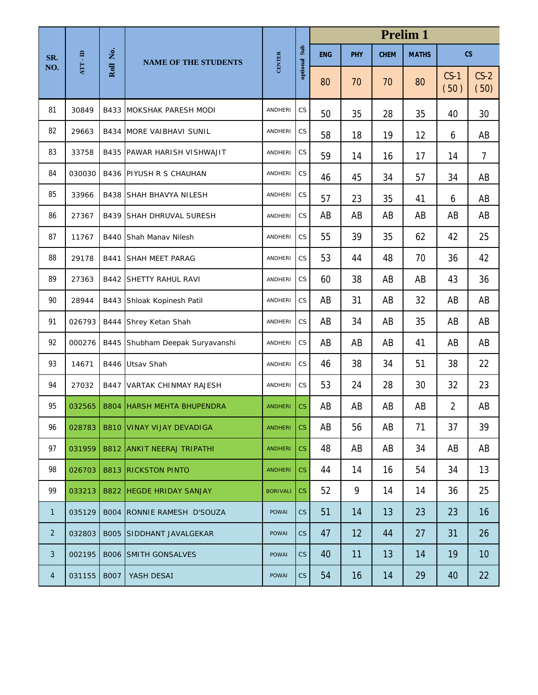|                |          |             |                                    |                 |                        |            | <b>Prelim 1</b> |             |              |                |                          |  |  |
|----------------|----------|-------------|------------------------------------|-----------------|------------------------|------------|-----------------|-------------|--------------|----------------|--------------------------|--|--|
| SR.            | ATT - ID | Ż.          | <b>NAME OF THE STUDENTS</b>        | <b>CENTER</b>   | optional Sub           | <b>ENG</b> | <b>PHY</b>      | <b>CHEM</b> | <b>MATHS</b> |                | $\mathsf{CS}\phantom{0}$ |  |  |
| NO.            |          | Roll        |                                    |                 |                        | 80         | 70              | 70          | 80           | $CS-1$<br>(50) | $CS-2$<br>(50)           |  |  |
| 81             | 30849    |             | <b>B433 MOKSHAK PARESH MODI</b>    | <b>ANDHERI</b>  | CS                     | 50         | 35              | 28          | 35           | 40             | 30                       |  |  |
| 82             | 29663    |             | <b>B434 MORE VAIBHAVI SUNIL</b>    | <b>ANDHERI</b>  | CS                     | 58         | 18              | 19          | 12           | 6              | AB                       |  |  |
| 83             | 33758    |             | <b>B435 PAWAR HARISH VISHWAJIT</b> | <b>ANDHERI</b>  | CS                     | 59         | 14              | 16          | 17           | 14             | $\overline{7}$           |  |  |
| 84             | 030030   |             | <b>B436 PIYUSH R S CHAUHAN</b>     | <b>ANDHERI</b>  | CS                     | 46         | 45              | 34          | 57           | 34             | AB                       |  |  |
| 85             | 33966    |             | <b>B438 SHAH BHAVYA NILESH</b>     | <b>ANDHERI</b>  | CS                     | 57         | 23              | 35          | 41           | 6              | AB                       |  |  |
| 86             | 27367    | B439        | <b>SHAH DHRUVAL SURESH</b>         | <b>ANDHERI</b>  | $\mathbb{C}\mathsf{S}$ | AB         | AB              | AB          | AB           | AB             | AB                       |  |  |
| 87             | 11767    | B440        | Shah Manav Nilesh                  | <b>ANDHERI</b>  | $\mathbb{C}\mathsf{S}$ | 55         | 39              | 35          | 62           | 42             | 25                       |  |  |
| 88             | 29178    | B441        | <b>SHAH MEET PARAG</b>             | <b>ANDHERI</b>  | CS                     | 53         | 44              | 48          | 70           | 36             | 42                       |  |  |
| 89             | 27363    |             | <b>B442 SHETTY RAHUL RAVI</b>      | <b>ANDHERI</b>  | $\mathbb{C}\mathsf{S}$ | 60         | 38              | AB          | AB           | 43             | 36                       |  |  |
| 90             | 28944    | B443        | Shloak Kopinesh Patil              | <b>ANDHERI</b>  | CS                     | AB         | 31              | AB          | 32           | AB             | AB                       |  |  |
| 91             | 026793   | B444        | Shrey Ketan Shah                   | <b>ANDHERI</b>  | CS                     | AB         | 34              | AB          | 35           | AB             | AB                       |  |  |
| 92             | 000276   | B445        | Shubham Deepak Suryavanshi         | <b>ANDHERI</b>  | CS                     | AB         | AB              | AB          | 41           | AB             | AB                       |  |  |
| 93             | 14671    | B446        | Utsav Shah                         | <b>ANDHERI</b>  | CS                     | 46         | 38              | 34          | 51           | 38             | 22                       |  |  |
| 94             | 27032    | B447        | <b>VARTAK CHINMAY RAJESH</b>       | <b>ANDHERI</b>  | $\mathbb{C}\mathsf{S}$ | 53         | 24              | 28          | 30           | 32             | 23                       |  |  |
| 95             | 032565   | <b>B804</b> | <b>HARSH MEHTA BHUPENDRA</b>       | <b>ANDHERI</b>  | <b>CS</b>              | AB         | AB              | AB          | AB           | $\overline{2}$ | AB                       |  |  |
| 96             | 028783   |             | <b>B810 VINAY VIJAY DEVADIGA</b>   | <b>ANDHERI</b>  | CS.                    | AB         | 56              | AB          | 71           | 37             | 39                       |  |  |
| 97             | 031959   |             | <b>B812 ANKIT NEERAJ TRIPATHI</b>  | <b>ANDHERI</b>  | CS                     | 48         | AB              | AB          | 34           | AB             | AB                       |  |  |
| 98             | 026703   |             | <b>B813 RICKSTON PINTO</b>         | <b>ANDHERI</b>  | CS                     | 44         | 14              | 16          | 54           | 34             | 13                       |  |  |
| 99             | 033213   |             | <b>B822 HEGDE HRIDAY SANJAY</b>    | <b>BORIVALI</b> | CS                     | 52         | 9               | 14          | 14           | 36             | 25                       |  |  |
| $\mathbf{1}$   | 035129   |             | B004 RONNIE RAMESH D'SOUZA         | <b>POWAI</b>    | CS                     | 51         | 14              | 13          | 23           | 23             | 16                       |  |  |
| $\overline{2}$ | 032803   |             | <b>BOO5 SIDDHANT JAVALGEKAR</b>    | <b>POWAI</b>    | CS                     | 47         | 12              | 44          | 27           | 31             | 26                       |  |  |
| 3              | 002195   |             | <b>BOO6 SMITH GONSALVES</b>        | <b>POWAI</b>    | CS                     | 40         | 11              | 13          | 14           | 19             | 10                       |  |  |
| $\overline{4}$ | 031155   | <b>B007</b> | YASH DESAI                         | <b>POWAI</b>    | CS                     | 54         | 16              | 14          | 29           | 40             | 22                       |  |  |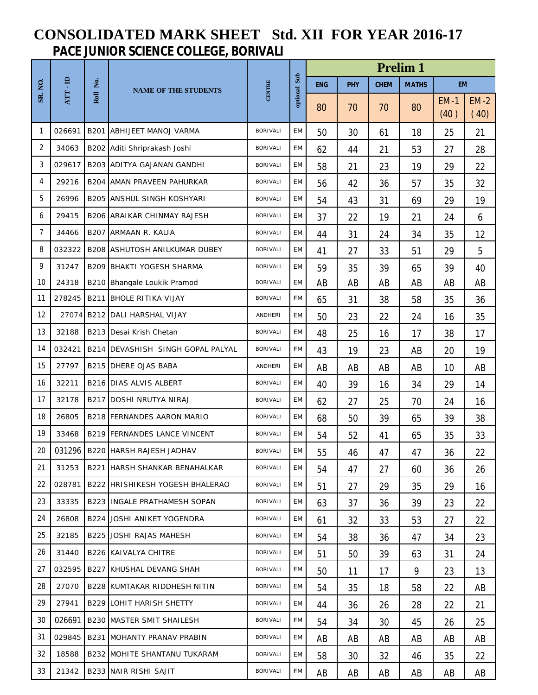## **CONSOLIDATED MARK SHEET Std. XII FOR YEAR 2016-17 PACE JUNIOR SCIENCE COLLEGE, BORIVALI**

|                |        |          |                                      |                 |           | <b>Prelim 1</b> |            |             |              |                |                |  |  |
|----------------|--------|----------|--------------------------------------|-----------------|-----------|-----------------|------------|-------------|--------------|----------------|----------------|--|--|
| <b>SR. NO.</b> | ATT-ID | Roll No. | <b>NAME OF THE STUDENTS</b>          | CENTRE          | Sub       | <b>ENG</b>      | <b>PHY</b> | <b>CHEM</b> | <b>MATHS</b> | <b>EM</b>      |                |  |  |
|                |        |          |                                      |                 | optional  | 80              | 70         | 70          | 80           | $EM-1$<br>(40) | $EM-2$<br>(40) |  |  |
| 1              | 026691 |          | <b>B201 ABHIJEET MANOJ VARMA</b>     | <b>BORIVALI</b> | EM        | 50              | 30         | 61          | 18           | 25             | 21             |  |  |
| 2              | 34063  |          | B202 Aditi Shriprakash Joshi         | <b>BORIVALI</b> | EM        | 62              | 44         | 21          | 53           | 27             | 28             |  |  |
| 3              | 029617 |          | <b>B203 ADITYA GAJANAN GANDHI</b>    | <b>BORIVALI</b> | EM        | 58              | 21         | 23          | 19           | 29             | 22             |  |  |
| 4              | 29216  |          | B204 AMAN PRAVEEN PAHURKAR           | <b>BORIVALI</b> | EM        | 56              | 42         | 36          | 57           | 35             | 32             |  |  |
| 5              | 26996  |          | <b>B205 ANSHUL SINGH KOSHYARI</b>    | <b>BORIVALI</b> | EM        | 54              | 43         | 31          | 69           | 29             | 19             |  |  |
| 6              | 29415  |          | <b>B206 ARAIKAR CHINMAY RAJESH</b>   | <b>BORIVALI</b> | EM        | 37              | 22         | 19          | 21           | 24             | 6              |  |  |
| 7              | 34466  |          | B207 ARMAAN R. KALIA                 | <b>BORIVALI</b> | EM        | 44              | 31         | 24          | 34           | 35             | 12             |  |  |
| 8              | 032322 |          | <b>B208 ASHUTOSH ANILKUMAR DUBEY</b> | <b>BORIVALI</b> | <b>EM</b> | 41              | 27         | 33          | 51           | 29             | 5              |  |  |
| 9              | 31247  |          | <b>B209 BHAKTI YOGESH SHARMA</b>     | <b>BORIVALI</b> | EM        | 59              | 35         | 39          | 65           | 39             | 40             |  |  |
| 10             | 24318  |          | B210 Bhangale Loukik Pramod          | <b>BORIVALI</b> | EM        | AB              | AB         | AB          | AB           | AB             | AB             |  |  |
| 11             | 278245 |          | <b>B211 BHOLE RITIKA VIJAY</b>       | <b>BORIVALI</b> | EM        | 65              | 31         | 38          | 58           | 35             | 36             |  |  |
| 12             | 27074  |          | B212 DALI HARSHAL VIJAY              | <b>ANDHERI</b>  | EM        | 50              | 23         | 22          | 24           | 16             | 35             |  |  |
| 13             | 32188  |          | B213 Desai Krish Chetan              | <b>BORIVALI</b> | EM        | 48              | 25         | 16          | 17           | 38             | 17             |  |  |
| 14             | 032421 |          | B214 DEVASHISH SINGH GOPAL PALYAL    | <b>BORIVALI</b> | EM        | 43              | 19         | 23          | AB           | 20             | 19             |  |  |
| 15             | 27797  |          | <b>B215 DHERE OJAS BABA</b>          | <b>ANDHERI</b>  | EM        | AB              | AB         | AB          | AB           | 10             | AB             |  |  |
| 16             | 32211  |          | <b>B216 DIAS ALVIS ALBERT</b>        | <b>BORIVALI</b> | EM        | 40              | 39         | 16          | 34           | 29             | 14             |  |  |
| 17             | 32178  | B217     | <b>DOSHI NRUTYA NIRAJ</b>            | <b>BORIVALI</b> | EM        | 62              | 27         | 25          | 70           | 24             | 16             |  |  |
| 18             | 26805  |          | <b>B218 FERNANDES AARON MARIO</b>    | <b>BORIVALI</b> | EM        | 68              | 50         | 39          | 65           | 39             | 38             |  |  |
| 19             | 33468  |          | <b>B219 FERNANDES LANCE VINCENT</b>  | <b>BORIVALI</b> | EM        | 54              | 52         | 41          | 65           | 35             | 33             |  |  |
| 20             |        |          | 031296   B220   HARSH RAJESH JADHAV  | <b>BORIVALI</b> | EM        | 55              | 46         | 47          | 47           | 36             | 22             |  |  |
| 21             | 31253  |          | <b>B221 HARSH SHANKAR BENAHALKAR</b> | <b>BORIVALI</b> | EM        | 54              | 47         | 27          | 60           | 36             | 26             |  |  |
| 22             | 028781 |          | B222 HRISHIKESH YOGESH BHALERAO      | <b>BORIVALI</b> | EM        | 51              | 27         | 29          | 35           | 29             | 16             |  |  |
| 23             | 33335  |          | <b>B223 IINGALE PRATHAMESH SOPAN</b> | <b>BORIVALI</b> | EM        | 63              | 37         | 36          | 39           | 23             | 22             |  |  |
| 24             | 26808  |          | <b>B224 JOSHI ANIKET YOGENDRA</b>    | <b>BORIVALI</b> | EM        | 61              | 32         | 33          | 53           | 27             | 22             |  |  |
| 25             | 32185  |          | B225 JOSHI RAJAS MAHESH              | <b>BORIVALI</b> | EM        | 54              | 38         | 36          | 47           | 34             | 23             |  |  |
| 26             | 31440  |          | B226 KAIVALYA CHITRE                 | <b>BORIVALI</b> | EM        | 51              | 50         | 39          | 63           | 31             | 24             |  |  |
| 27             | 032595 |          | <b>B227 KHUSHAL DEVANG SHAH</b>      | <b>BORIVALI</b> | EM        | 50              | 11         | 17          | 9            | 23             | 13             |  |  |
| 28             | 27070  |          | B228 KUMTAKAR RIDDHESH NITIN         | BORIVALI        | EM        | 54              | 35         | 18          | 58           | 22             | AB             |  |  |
| 29             | 27941  |          | <b>B229 LOHIT HARISH SHETTY</b>      | <b>BORIVALI</b> | EM        | 44              | 36         | 26          | 28           | 22             | 21             |  |  |
| 30             | 026691 |          | <b>B230 MASTER SMIT SHAILESH</b>     | <b>BORIVALI</b> | EM        | 54              | 34         | 30          | 45           | 26             | 25             |  |  |
| 31             | 029845 |          | <b>B231 MOHANTY PRANAV PRABIN</b>    | <b>BORIVALI</b> | EM        | AB              | AB         | AB          | AB           | AB             | AB             |  |  |
| 32             | 18588  |          | B232 MOHITE SHANTANU TUKARAM         | <b>BORIVALI</b> | EM        | 58              | 30         | 32          | 46           | 35             | 22             |  |  |
| 33             | 21342  |          | <b>B233 NAIR RISHI SAJIT</b>         | BORIVALI        | EM        | AB              | AB         | AB          | AB           | AB             | AB             |  |  |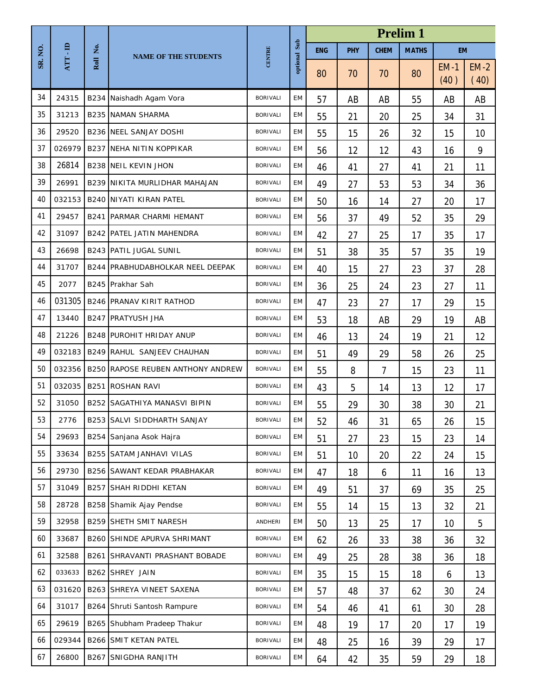|         |        |          |                                          |                 |          | <b>Prelim 1</b> |     |                |              |                |                |
|---------|--------|----------|------------------------------------------|-----------------|----------|-----------------|-----|----------------|--------------|----------------|----------------|
| SR. NO. | e.     | Roll No. | <b>NAME OF THE STUDENTS</b>              | CENTRE          | Sub      | <b>ENG</b>      | PHY | <b>CHEM</b>    | <b>MATHS</b> | <b>EM</b>      |                |
|         | ATT    |          |                                          |                 | optional | 80              | 70  | 70             | 80           | $EM-1$<br>(40) | $EM-2$<br>(40) |
| 34      | 24315  |          | B234 Naishadh Agam Vora                  | <b>BORIVALI</b> | EM       | 57              | AB  | AB             | 55           | AB             | AB             |
| 35      | 31213  |          | <b>B235 NAMAN SHARMA</b>                 | <b>BORIVALI</b> | EM       | 55              | 21  | 20             | 25           | 34             | 31             |
| 36      | 29520  |          | <b>B236 NEEL SANJAY DOSHI</b>            | <b>BORIVALI</b> | EM       | 55              | 15  | 26             | 32           | 15             | 10             |
| 37      | 026979 |          | <b>B237 NEHA NITIN KOPPIKAR</b>          | <b>BORIVALI</b> | EM       | 56              | 12  | 12             | 43           | 16             | 9              |
| 38      | 26814  |          | <b>B238 NEIL KEVIN JHON</b>              | <b>BORIVALI</b> | EM       | 46              | 41  | 27             | 41           | 21             | 11             |
| 39      | 26991  |          | B239 NIKITA MURLIDHAR MAHAJAN            | <b>BORIVALI</b> | EM       | 49              | 27  | 53             | 53           | 34             | 36             |
| 40      | 032153 |          | <b>B240 NIYATI KIRAN PATEL</b>           | <b>BORIVALI</b> | EM       | 50              | 16  | 14             | 27           | 20             | 17             |
| 41      | 29457  |          | <b>B241 PARMAR CHARMI HEMANT</b>         | <b>BORIVALI</b> | EM       | 56              | 37  | 49             | 52           | 35             | 29             |
| 42      | 31097  |          | <b>B242 PATEL JATIN MAHENDRA</b>         | <b>BORIVALI</b> | EM       | 42              | 27  | 25             | 17           | 35             | 17             |
| 43      | 26698  |          | <b>B243 PATIL JUGAL SUNIL</b>            | <b>BORIVALI</b> | EM       | 51              | 38  | 35             | 57           | 35             | 19             |
| 44      | 31707  |          | B244 PRABHUDABHOLKAR NEEL DEEPAK         | <b>BORIVALI</b> | EM       | 40              | 15  | 27             | 23           | 37             | 28             |
| 45      | 2077   |          | B245 Prakhar Sah                         | <b>BORIVALI</b> | EM       | 36              | 25  | 24             | 23           | 27             | 11             |
| 46      | 031305 |          | <b>B246 PRANAV KIRIT RATHOD</b>          | <b>BORIVALI</b> | EM       | 47              | 23  | 27             | 17           | 29             | 15             |
| 47      | 13440  | B247     | <b>PRATYUSH JHA</b>                      | <b>BORIVALI</b> | EM       | 53              | 18  | AB             | 29           | 19             | AB             |
| 48      | 21226  |          | <b>B248 PUROHIT HRIDAY ANUP</b>          | <b>BORIVALI</b> | EM       | 46              | 13  | 24             | 19           | 21             | 12             |
| 49      | 032183 |          | B249 RAHUL SANJEEV CHAUHAN               | <b>BORIVALI</b> | EM       | 51              | 49  | 29             | 58           | 26             | 25             |
| 50      | 032356 |          | <b>B250 RAPOSE REUBEN ANTHONY ANDREW</b> | <b>BORIVALI</b> | EM       | 55              | 8   | $\overline{7}$ | 15           | 23             | 11             |
| 51      | 032035 | B251     | <b>ROSHAN RAVI</b>                       | <b>BORIVALI</b> | EM       | 43              | 5   | 14             | 13           | 12             | 17             |
| 52      | 31050  |          | B252 SAGATHIYA MANASVI BIPIN             | <b>BORIVALI</b> | EM       | 55              | 29  | 30             | 38           | 30             | 21             |
| 53      | 2776   |          | B253 SALVI SIDDHARTH SANJAY              | BORIVALI        | EM       | 52              | 46  | 31             | 65           | 26             | 15             |
| 54      | 29693  |          | B254 Sanjana Asok Hajra                  | <b>BORIVALI</b> | EM       | 51              | 27  | 23             | 15           | 23             | 14             |
| 55      | 33634  |          | B255 SATAM JANHAVI VILAS                 | <b>BORIVALI</b> | EM       | 51              | 10  | 20             | 22           | 24             | 15             |
| 56      | 29730  |          | B256 SAWANT KEDAR PRABHAKAR              | <b>BORIVALI</b> | EM       | 47              | 18  | 6              | 11           | 16             | 13             |
| 57      | 31049  | B257     | SHAH RIDDHI KETAN                        | <b>BORIVALI</b> | EM       | 49              | 51  | 37             | 69           | 35             | 25             |
| 58      | 28728  |          | B258 Shamik Ajay Pendse                  | <b>BORIVALI</b> | EM       | 55              | 14  | 15             | 13           | 32             | 21             |
| 59      | 32958  |          | B259 SHETH SMIT NARESH                   | ANDHERI         | EM       | 50              | 13  | 25             | 17           | 10             | 5              |
| 60      | 33687  |          | B260 SHINDE APURVA SHRIMANT              | <b>BORIVALI</b> | EM       | 62              | 26  | 33             | 38           | 36             | 32             |
| 61      | 32588  | B261     | SHRAVANTI PRASHANT BOBADE                | <b>BORIVALI</b> | EM       | 49              | 25  | 28             | 38           | 36             | 18             |
| 62      | 033633 |          | B262 SHREY JAIN                          | <b>BORIVALI</b> | EM       | 35              | 15  | 15             | 18           | 6              | 13             |
| 63      | 031620 |          | B263 SHREYA VINEET SAXENA                | <b>BORIVALI</b> | EM       | 57              | 48  | 37             | 62           | 30             | 24             |
| 64      | 31017  |          | B264 Shruti Santosh Rampure              | <b>BORIVALI</b> | EM       | 54              | 46  | 41             | 61           | 30             | 28             |
| 65      | 29619  |          | B265 Shubham Pradeep Thakur              | <b>BORIVALI</b> | EM       | 48              | 19  | 17             | 20           | 17             | 19             |
| 66      | 029344 |          | <b>B266 SMIT KETAN PATEL</b>             | <b>BORIVALI</b> | EM       | 48              | 25  | 16             | 39           | 29             | 17             |
| 67      | 26800  |          | B267 SNIGDHA RANJITH                     | <b>BORIVALI</b> | EM       | 64              | 42  | 35             | 59           | 29             | 18             |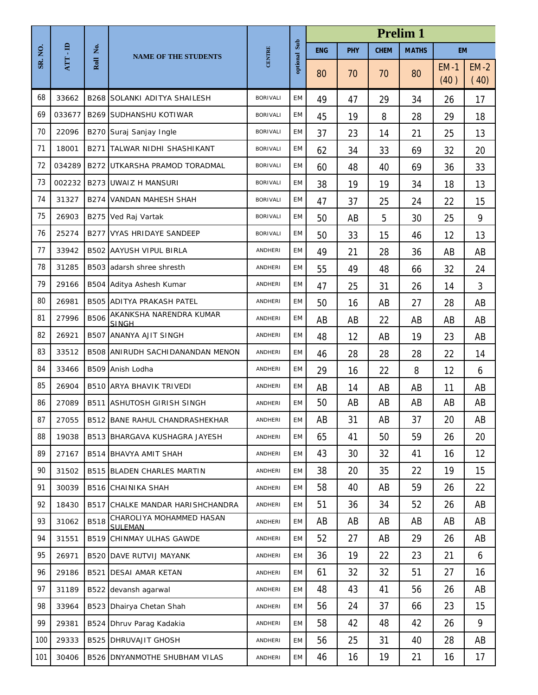|         |        |             |                                            |                 |           | <b>Prelim 1</b> |     |             |              |                |                |  |
|---------|--------|-------------|--------------------------------------------|-----------------|-----------|-----------------|-----|-------------|--------------|----------------|----------------|--|
| SR. NO. | e.     | Ż.          | <b>NAME OF THE STUDENTS</b>                | CENTRE          | Sub       | <b>ENG</b>      | PHY | <b>CHEM</b> | <b>MATHS</b> | <b>EM</b>      |                |  |
|         | ATT    | Roll        |                                            |                 | optional  | 80              | 70  | 70          | 80           | $EM-1$<br>(40) | $EM-2$<br>(40) |  |
| 68      | 33662  |             | <b>B268 SOLANKI ADITYA SHAILESH</b>        | <b>BORIVALI</b> | EM        | 49              | 47  | 29          | 34           | 26             | 17             |  |
| 69      | 033677 |             | <b>B269 SUDHANSHU KOTIWAR</b>              | <b>BORIVALI</b> | EM        | 45              | 19  | 8           | 28           | 29             | 18             |  |
| 70      | 22096  |             | B270 Suraj Sanjay Ingle                    | <b>BORIVALI</b> | EM        | 37              | 23  | 14          | 21           | 25             | 13             |  |
| 71      | 18001  | B271        | TALWAR NIDHI SHASHIKANT                    | <b>BORIVALI</b> | EM        | 62              | 34  | 33          | 69           | 32             | 20             |  |
| 72      | 034289 | B272        | UTKARSHA PRAMOD TORADMAL                   | <b>BORIVALI</b> | EM        | 60              | 48  | 40          | 69           | 36             | 33             |  |
| 73      | 002232 |             | <b>B273 UWAIZ H MANSURI</b>                | <b>BORIVALI</b> | <b>EM</b> | 38              | 19  | 19          | 34           | 18             | 13             |  |
| 74      | 31327  |             | <b>B274 VANDAN MAHESH SHAH</b>             | <b>BORIVALI</b> | EM        | 47              | 37  | 25          | 24           | 22             | 15             |  |
| 75      | 26903  | B275        | Ved Raj Vartak                             | <b>BORIVALI</b> | EM        | 50              | AB  | 5           | 30           | 25             | 9              |  |
| 76      | 25274  | B277        | VYAS HRIDAYE SANDEEP                       | <b>BORIVALI</b> | EM        | 50              | 33  | 15          | 46           | 12             | 13             |  |
| 77      | 33942  |             | <b>B502 AAYUSH VIPUL BIRLA</b>             | ANDHERI         | EM        | 49              | 21  | 28          | 36           | AB             | AB             |  |
| 78      | 31285  |             | B503 adarsh shree shresth                  | ANDHERI         | EM        | 55              | 49  | 48          | 66           | 32             | 24             |  |
| 79      | 29166  |             | B504 Aditya Ashesh Kumar                   | ANDHERI         | EM        | 47              | 25  | 31          | 26           | 14             | 3              |  |
| 80      | 26981  |             | <b>B505 ADITYA PRAKASH PATEL</b>           | <b>ANDHERI</b>  | EM        | 50              | 16  | AB          | 27           | 28             | AB             |  |
| 81      | 27996  | <b>B506</b> | AKANKSHA NARENDRA KUMAR<br><b>SINGH</b>    | <b>ANDHERI</b>  | EM        | AB              | AB  | 22          | AB           | AB             | AB             |  |
| 82      | 26921  |             | B507 ANANYA AJIT SINGH                     | ANDHERI         | EM        | 48              | 12  | AB          | 19           | 23             | AB             |  |
| 83      | 33512  |             | <b>B508 ANIRUDH SACHIDANANDAN MENON</b>    | <b>ANDHERI</b>  | EM        | 46              | 28  | 28          | 28           | 22             | 14             |  |
| 84      | 33466  |             | B509 Anish Lodha                           | ANDHERI         | EM        | 29              | 16  | 22          | 8            | 12             | 6              |  |
| 85      | 26904  |             | <b>B510 ARYA BHAVIK TRIVEDI</b>            | <b>ANDHERI</b>  | EM        | AB              | 14  | AB          | AB           | 11             | AB             |  |
| 86      | 27089  |             | <b>B511 ASHUTOSH GIRISH SINGH</b>          | ANDHERI         | EM        | 50              | AB  | AB          | AB           | AB             | AB             |  |
| 87      | 27055  |             | <b>B512 BANE RAHUL CHANDRASHEKHAR</b>      | ANDHERI         | EM        | AB              | 31  | AB          | 37           | 20             | AB             |  |
| 88      | 19038  |             | B513 BHARGAVA KUSHAGRA JAYESH              | ANDHERI         | EM        | 65              | 41  | 50          | 59           | 26             | 20             |  |
| 89      | 27167  | B514        | <b>BHAVYA AMIT SHAH</b>                    | ANDHERI         | EM        | 43              | 30  | 32          | 41           | 16             | 12             |  |
| 90      | 31502  |             | <b>B515 BLADEN CHARLES MARTIN</b>          | ANDHERI         | EM        | 38              | 20  | 35          | 22           | 19             | 15             |  |
| 91      | 30039  |             | <b>B516 CHAINIKA SHAH</b>                  | ANDHERI         | <b>EM</b> | 58              | 40  | AB          | 59           | 26             | 22             |  |
| 92      | 18430  |             | <b>B517 CHALKE MANDAR HARISHCHANDRA</b>    | ANDHERI         | EM        | 51              | 36  | 34          | 52           | 26             | AB             |  |
| 93      | 31062  | <b>B518</b> | CHAROLIYA MOHAMMED HASAN<br><b>SULEMAN</b> | ANDHERI         | EM        | AB              | AB  | AB          | AB           | AB             | AB             |  |
| 94      | 31551  | B519        | CHINMAY ULHAS GAWDE                        | ANDHERI         | EM        | 52              | 27  | AB          | 29           | 26             | AB             |  |
| 95      | 26971  |             | <b>B520 DAVE RUTVIJ MAYANK</b>             | ANDHERI         | EM        | 36              | 19  | 22          | 23           | 21             | 6              |  |
| 96      | 29186  | B521        | <b>DESAI AMAR KETAN</b>                    | ANDHERI         | EM        | 61              | 32  | 32          | 51           | 27             | 16             |  |
| 97      | 31189  | B522        | devansh agarwal                            | ANDHERI         | EM        | 48              | 43  | 41          | 56           | 26             | AB             |  |
| 98      | 33964  | B523        | Dhairya Chetan Shah                        | ANDHERI         | EM        | 56              | 24  | 37          | 66           | 23             | 15             |  |
| 99      | 29381  | B524        | Dhruv Parag Kadakia                        | ANDHERI         | EM        | 58              | 42  | 48          | 42           | 26             | 9              |  |
| 100     | 29333  |             | <b>B525 DHRUVAJIT GHOSH</b>                | ANDHERI         | EM        | 56              | 25  | 31          | 40           | 28             | AB             |  |
| 101     | 30406  |             | B526 DNYANMOTHE SHUBHAM VILAS              | ANDHERI         | EM        | 46              | 16  | 19          | 21           | 16             | 17             |  |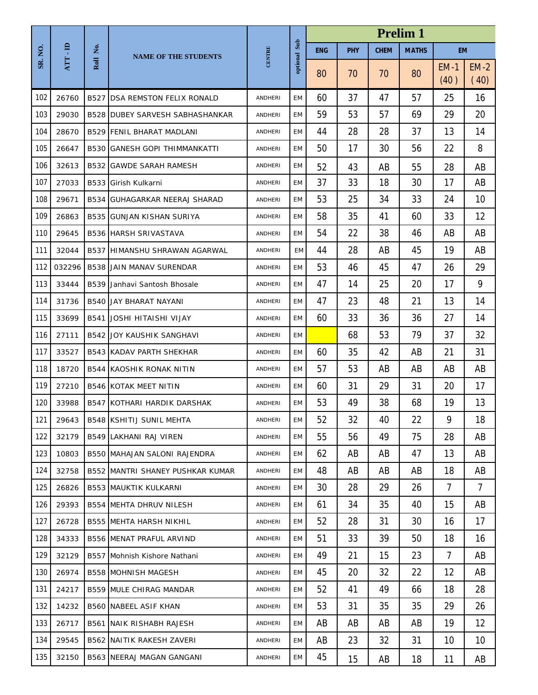|         |        |      |                                         |                | <b>Prelim 1</b> |            |            |             |              |                |                |
|---------|--------|------|-----------------------------------------|----------------|-----------------|------------|------------|-------------|--------------|----------------|----------------|
| SR. NO. | e.     | Ż.   | <b>NAME OF THE STUDENTS</b>             | CENTRE         | Sub             | <b>ENG</b> | <b>PHY</b> | <b>CHEM</b> | <b>MATHS</b> | <b>EM</b>      |                |
|         | ATT    | Roll |                                         |                | optional        | 80         | 70         | 70          | 80           | $EM-1$<br>(40) | $EM-2$<br>(40) |
| 102     | 26760  | B527 | <b>DSA REMSTON FELIX RONALD</b>         | ANDHERI        | EM              | 60         | 37         | 47          | 57           | 25             | 16             |
| 103     | 29030  |      | <b>B528 DUBEY SARVESH SABHASHANKAR</b>  | ANDHERI        | EM              | 59         | 53         | 57          | 69           | 29             | 20             |
| 104     | 28670  |      | <b>B529 FENIL BHARAT MADLANI</b>        | ANDHERI        | <b>EM</b>       | 44         | 28         | 28          | 37           | 13             | 14             |
| 105     | 26647  |      | <b>B530 GANESH GOPI THIMMANKATTI</b>    | ANDHERI        | EM              | 50         | 17         | 30          | 56           | 22             | 8              |
| 106     | 32613  |      | <b>B532 GAWDE SARAH RAMESH</b>          | ANDHERI        | EM              | 52         | 43         | AB          | 55           | 28             | AB             |
| 107     | 27033  |      | B533 Girish Kulkarni                    | ANDHERI        | <b>EM</b>       | 37         | 33         | 18          | 30           | 17             | AB             |
| 108     | 29671  |      | <b>B534 GUHAGARKAR NEERAJ SHARAD</b>    | ANDHERI        | EM              | 53         | 25         | 34          | 33           | 24             | 10             |
| 109     | 26863  |      | <b>B535 GUNJAN KISHAN SURIYA</b>        | ANDHERI        | <b>EM</b>       | 58         | 35         | 41          | 60           | 33             | 12             |
| 110     | 29645  |      | <b>B536 HARSH SRIVASTAVA</b>            | <b>ANDHERI</b> | EM              | 54         | 22         | 38          | 46           | AB             | AB             |
| 111     | 32044  |      | B537 HIMANSHU SHRAWAN AGARWAL           | ANDHERI        | EM              | 44         | 28         | AB          | 45           | 19             | AB             |
| 112     | 032296 |      | <b>B538 JJAIN MANAV SURENDAR</b>        | ANDHERI        | EM              | 53         | 46         | 45          | 47           | 26             | 29             |
| 113     | 33444  |      | B539 Janhavi Santosh Bhosale            | ANDHERI        | EM              | 47         | 14         | 25          | 20           | 17             | 9              |
| 114     | 31736  |      | <b>B540 JAY BHARAT NAYANI</b>           | ANDHERI        | EM              | 47         | 23         | 48          | 21           | 13             | 14             |
| 115     | 33699  | B541 | JOSHI HITAISHI VIJAY                    | <b>ANDHERI</b> | <b>EM</b>       | 60         | 33         | 36          | 36           | 27             | 14             |
| 116     | 27111  |      | <b>B542 JOY KAUSHIK SANGHAVI</b>        | ANDHERI        | EM              |            | 68         | 53          | 79           | 37             | 32             |
| 117     | 33527  |      | <b>B543 KADAV PARTH SHEKHAR</b>         | ANDHERI        | <b>EM</b>       | 60         | 35         | 42          | AB           | 21             | 31             |
| 118     | 18720  |      | <b>B544 KAOSHIK RONAK NITIN</b>         | ANDHERI        | EM              | 57         | 53         | AB          | AB           | AB             | AB             |
| 119     | 27210  |      | <b>B546 KOTAK MEET NITIN</b>            | ANDHERI        | EM              | 60         | 31         | 29          | 31           | 20             | 17             |
| 120     | 33988  |      | <b>B547 KOTHARI HARDIK DARSHAK</b>      | ANDHERI        | EM              | 53         | 49         | 38          | 68           | 19             | 13             |
| 121     | 29643  |      | <b>B548 KSHITIJ SUNIL MEHTA</b>         | ANDHERI        | EM              | 52         | 32         | 40          | 22           | 9              | 18             |
| 122     | 32179  |      | <b>B549 LAKHANI RAJ VIREN</b>           | ANDHERI        | EM              | 55         | 56         | 49          | 75           | 28             | AB             |
| 123     | 10803  |      | B550 MAHAJAN SALONI RAJENDRA            | ANDHERI        | EM              | 62         | AB         | AB          | 47           | 13             | AB             |
| 124     | 32758  |      | <b>B552 MANTRI SHANEY PUSHKAR KUMAR</b> | ANDHERI        | EM              | 48         | AB         | AB          | AB           | 18             | AB             |
| 125     | 26826  |      | <b>B553 MAUKTIK KULKARNI</b>            | ANDHERI        | EM              | 30         | 28         | 29          | 26           | 7              | $\overline{7}$ |
| 126     | 29393  |      | <b>B554 MEHTA DHRUV NILESH</b>          | ANDHERI        | EM              | 61         | 34         | 35          | 40           | 15             | AB             |
| 127     | 26728  |      | <b>B555 MEHTA HARSH NIKHIL</b>          | ANDHERI        | EM              | 52         | 28         | 31          | 30           | 16             | 17             |
| 128     | 34333  |      | <b>B556 MENAT PRAFUL ARVIND</b>         | ANDHERI        | EM              | 51         | 33         | 39          | 50           | 18             | 16             |
| 129     | 32129  |      | B557 Mohnish Kishore Nathani            | ANDHERI        | EM              | 49         | 21         | 15          | 23           | $\overline{7}$ | AB             |
| 130     | 26974  |      | <b>B558 MOHNISH MAGESH</b>              | ANDHERI        | EM              | 45         | 20         | 32          | 22           | 12             | AB             |
| 131     | 24217  |      | <b>B559 MULE CHIRAG MANDAR</b>          | ANDHERI        | <b>EM</b>       | 52         | 41         | 49          | 66           | 18             | 28             |
| 132     | 14232  |      | <b>B560 NABEEL ASIF KHAN</b>            | ANDHERI        | EM              | 53         | 31         | 35          | 35           | 29             | 26             |
| 133     | 26717  |      | <b>B561 NAIK RISHABH RAJESH</b>         | ANDHERI        | EM              | AB         | AB         | AB          | AB           | 19             | 12             |
| 134     | 29545  |      | <b>B562 NAITIK RAKESH ZAVERI</b>        | ANDHERI        | EM              | AB         | 23         | 32          | 31           | 10             | 10             |
| 135     | 32150  |      | <b>B563 NEERAJ MAGAN GANGANI</b>        | ANDHERI        | EM              | 45         | 15         | AB          | 18           | 11             | AB             |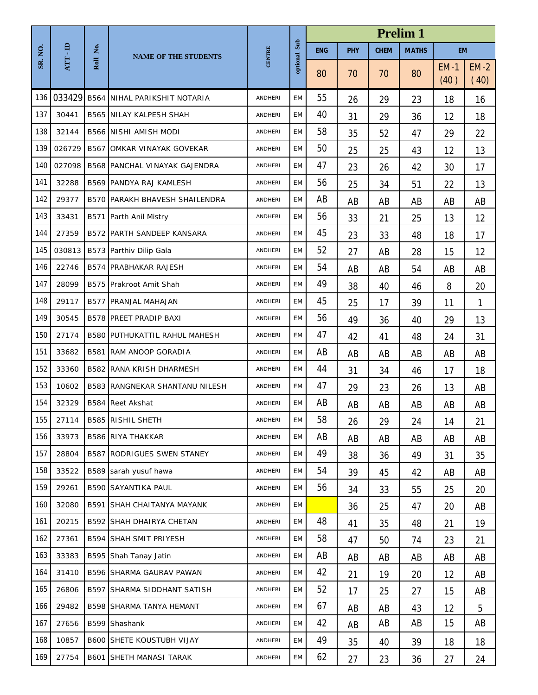|        |        |             |                                       |                |           | <b>Prelim 1</b> |            |             |              |                     |                |  |
|--------|--------|-------------|---------------------------------------|----------------|-----------|-----------------|------------|-------------|--------------|---------------------|----------------|--|
| SR.NO. | ATT-ID | Ż.          | <b>NAME OF THE STUDENTS</b>           | <b>CENTRE</b>  | Sub       | <b>ENG</b>      | <b>PHY</b> | <b>CHEM</b> | <b>MATHS</b> | <b>EM</b>           |                |  |
|        |        | Roll        |                                       |                | optional  | 80              | 70         | 70          | 80           | <b>EM-1</b><br>(40) | $EM-2$<br>(40) |  |
| 136    | 033429 |             | <b>B564 NIHAL PARIKSHIT NOTARIA</b>   | <b>ANDHERI</b> | EM        | 55              | 26         | 29          | 23           | 18                  | 16             |  |
| 137    | 30441  |             | <b>B565 NILAY KALPESH SHAH</b>        | ANDHERI        | EM        | 40              | 31         | 29          | 36           | 12                  | 18             |  |
| 138    | 32144  |             | <b>B566 NISHI AMISH MODI</b>          | <b>ANDHERI</b> | EM        | 58              | 35         | 52          | 47           | 29                  | 22             |  |
| 139    | 026729 | B567        | OMKAR VINAYAK GOVEKAR                 | ANDHERI        | EM        | 50              | 25         | 25          | 43           | 12                  | 13             |  |
| 140    | 027098 | <b>B568</b> | PANCHAL VINAYAK GAJENDRA              | <b>ANDHERI</b> | <b>EM</b> | 47              | 23         | 26          | 42           | 30                  | 17             |  |
| 141    | 32288  |             | <b>B569 PANDYA RAJ KAMLESH</b>        | ANDHERI        | <b>EM</b> | 56              | 25         | 34          | 51           | 22                  | 13             |  |
| 142    | 29377  |             | <b>B570 PARAKH BHAVESH SHAILENDRA</b> | ANDHERI        | EM        | AB              | AB         | AB          | AB           | AB                  | AB             |  |
| 143    | 33431  | B571        | Parth Anil Mistry                     | <b>ANDHERI</b> | EM        | 56              | 33         | 21          | 25           | 13                  | 12             |  |
| 144    | 27359  |             | <b>B572 PARTH SANDEEP KANSARA</b>     | <b>ANDHERI</b> | EM        | 45              | 23         | 33          | 48           | 18                  | 17             |  |
| 145    | 030813 |             | B573 Parthiv Dilip Gala               | ANDHERI        | EM        | 52              | 27         | AB          | 28           | 15                  | 12             |  |
| 146    | 22746  | B574        | <b>PRABHAKAR RAJESH</b>               | ANDHERI        | EM        | 54              | AB         | AB          | 54           | AB                  | AB             |  |
| 147    | 28099  | B575        | Prakroot Amit Shah                    | <b>ANDHERI</b> | EM        | 49              | 38         | 40          | 46           | 8                   | 20             |  |
| 148    | 29117  | <b>B577</b> | PRANJAL MAHAJAN                       | <b>ANDHERI</b> | EM        | 45              | 25         | 17          | 39           | 11                  | 1              |  |
| 149    | 30545  |             | <b>B578 PREET PRADIP BAXI</b>         | <b>ANDHERI</b> | EM        | 56              | 49         | 36          | 40           | 29                  | 13             |  |
| 150    | 27174  |             | <b>B580 PUTHUKATTIL RAHUL MAHESH</b>  | ANDHERI        | EM        | 47              | 42         | 41          | 48           | 24                  | 31             |  |
| 151    | 33682  | B581        | RAM ANOOP GORADIA                     | ANDHERI        | EM        | AB              | AB         | AB          | AB           | AB                  | AB             |  |
| 152    | 33360  | B582        | RANA KRISH DHARMESH                   | ANDHERI        | EM        | 44              | 31         | 34          | 46           | 17                  | 18             |  |
| 153    | 10602  | <b>B583</b> | RANGNEKAR SHANTANU NILESH             | ANDHERI        | EM        | 47              | 29         | 23          | 26           | 13                  | AB             |  |
| 154    | 32329  | <b>B584</b> | <b>Reet Akshat</b>                    | ANDHERI        | EM        | AB              | AB         | AB          | AB           | AB                  | AB             |  |
| 155    | 27114  |             | <b>B585 RISHIL SHETH</b>              | ANDHERI        | EM        | 58              | 26         | 29          | 24           | 14                  | 21             |  |
| 156    | 33973  |             | <b>B586 RIYA THAKKAR</b>              | ANDHERI        | EM        | AB              | AB         | AB          | AB           | AB                  | AB             |  |
| 157    | 28804  | <b>B587</b> | RODRIGUES SWEN STANEY                 | ANDHERI        | <b>EM</b> | 49              | 38         | 36          | 49           | 31                  | 35             |  |
| 158    | 33522  |             | B589 sarah yusuf hawa                 | ANDHERI        | EM        | 54              | 39         | 45          | 42           | AB                  | AB             |  |
| 159    | 29261  |             | <b>B590 SAYANTIKA PAUL</b>            | ANDHERI        | EM        | 56              | 34         | 33          | 55           | 25                  | 20             |  |
| 160    | 32080  |             | <b>B591 SHAH CHAITANYA MAYANK</b>     | ANDHERI        | EM        |                 | 36         | 25          | 47           | 20                  | AB             |  |
| 161    | 20215  |             | <b>B592 SHAH DHAIRYA CHETAN</b>       | ANDHERI        | EM        | 48              | 41         | 35          | 48           | 21                  | 19             |  |
| 162    | 27361  | B594        | <b>SHAH SMIT PRIYESH</b>              | ANDHERI        | EM        | 58              | 47         | 50          | 74           | 23                  | 21             |  |
| 163    | 33383  |             | B595 Shah Tanay Jatin                 | ANDHERI        | EM        | AB              | AB         | AB          | AB           | AB                  | AB             |  |
| 164    | 31410  |             | B596 SHARMA GAURAV PAWAN              | ANDHERI        | EM        | 42              | 21         | 19          | 20           | 12                  | AB             |  |
| 165    | 26806  |             | <b>B597 SHARMA SIDDHANT SATISH</b>    | ANDHERI        | EM        | 52              | 17         | 25          | 27           | 15                  | AB             |  |
| 166    | 29482  |             | <b>B598 SHARMA TANYA HEMANT</b>       | ANDHERI        | EM        | 67              | AB         | AB          | 43           | 12                  | 5              |  |
| 167    | 27656  |             | B599 Shashank                         | ANDHERI        | EM        | 42              | AB         | AB          | AB           | 15                  | AB             |  |
| 168    | 10857  |             | <b>B600 SHETE KOUSTUBH VIJAY</b>      | ANDHERI        | EM        | 49              | 35         | 40          | 39           | 18                  | 18             |  |
| 169    | 27754  | B601        | <b>SHETH MANASI TARAK</b>             | ANDHERI        | EM        | 62              | 27         | 23          | 36           | 27                  | 24             |  |